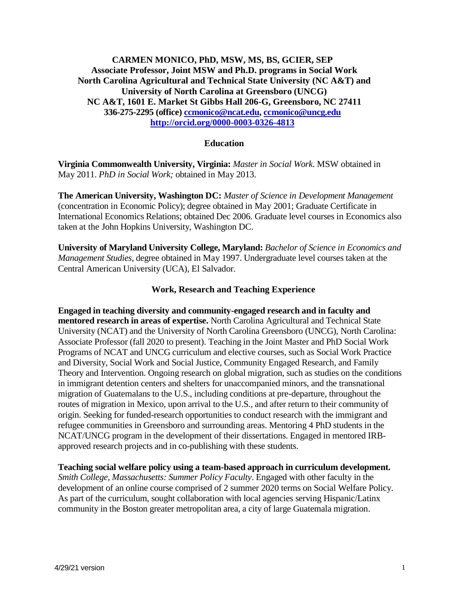## **CARMEN MONICO, PhD, MSW, MS, BS, GCIER, SEP Associate Professor, Joint MSW and Ph.D. programs in Social Work North Carolina Agricultural and Technical State University (NC A&T) and University of North Carolina at Greensboro (UNCG) NC A&T, 1601 E. Market St Gibbs Hall 206-G, Greensboro, NC 27411 336-275-2295 (office) [ccmonico@ncat.edu,](mailto:ccmonico@ncat.edu) [ccmonico@uncg.edu](mailto:ccmonico@uncg.edu) <http://orcid.org/0000-0003-0326-4813>**

### **Education**

**Virginia Commonwealth University, Virginia:** *Master in Social Work*. MSW obtained in May 2011. *PhD in Social Work;* obtained in May 2013.

**The American University, Washington DC:** *Master of Science in Development Management*  (concentration in Economic Policy); degree obtained in May 2001; Graduate Certificate in International Economics Relations; obtained Dec 2006. Graduate level courses in Economics also taken at the John Hopkins University, Washington DC.

**University of Maryland University College, Maryland:** *Bachelor of Science in Economics and Management Studies*, degree obtained in May 1997. Undergraduate level courses taken at the Central American University (UCA), El Salvador.

## **Work, Research and Teaching Experience**

**Engaged in teaching diversity and community-engaged research and in faculty and mentored research in areas of expertise.** North Carolina Agricultural and Technical State University (NCAT) and the University of North Carolina Greensboro (UNCG), North Carolina: Associate Professor (fall 2020 to present). Teaching in the Joint Master and PhD Social Work Programs of NCAT and UNCG curriculum and elective courses, such as Social Work Practice and Diversity, Social Work and Social Justice, Community Engaged Research, and Family Theory and Intervention. Ongoing research on global migration, such as studies on the conditions in immigrant detention centers and shelters for unaccompanied minors, and the transnational migration of Guatemalans to the U.S., including conditions at pre-departure, throughout the routes of migration in Mexico, upon arrival to the U.S., and after return to their community of origin. Seeking for funded-research opportunities to conduct research with the immigrant and refugee communities in Greensboro and surrounding areas. Mentoring 4 PhD students in the NCAT/UNCG program in the development of their dissertations. Engaged in mentored IRBapproved research projects and in co-publishing with these students.

**Teaching social welfare policy using a team-based approach in curriculum development.**  *Smith College, Massachusetts: Summer Policy Faculty*. Engaged with other faculty in the development of an online course comprised of 2 summer 2020 terms on Social Welfare Policy. As part of the curriculum, sought collaboration with local agencies serving Hispanic/Latinx community in the Boston greater metropolitan area, a city of large Guatemala migration.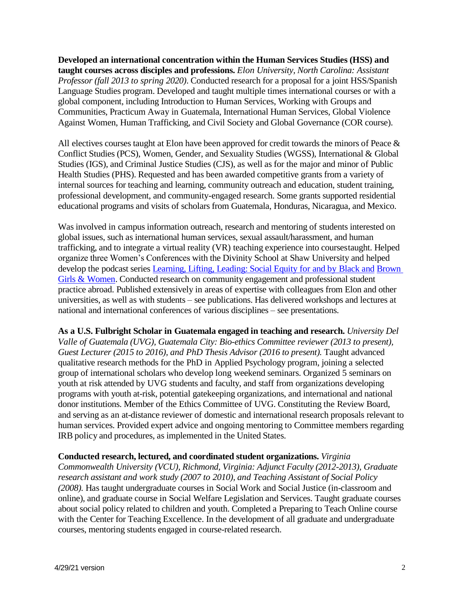**Developed an international concentration within the Human Services Studies (HSS) and taught courses across disciples and professions.** *Elon University, North Carolina: Assistant Professor (fall 2013 to spring 2020)*. Conducted research for a proposal for a joint HSS/Spanish Language Studies program. Developed and taught multiple times international courses or with a global component, including Introduction to Human Services, Working with Groups and Communities, Practicum Away in Guatemala, International Human Services, Global Violence Against Women, Human Trafficking, and Civil Society and Global Governance (COR course).

All electives courses taught at Elon have been approved for credit towards the minors of Peace & Conflict Studies (PCS), Women, Gender, and Sexuality Studies (WGSS), International & Global Studies (IGS), and Criminal Justice Studies (CJS), as well as for the major and minor of Public Health Studies (PHS). Requested and has been awarded competitive grants from a variety of internal sources for teaching and learning, community outreach and education, student training, professional development, and community-engaged research. Some grants supported residential educational programs and visits of scholars from Guatemala, Honduras, Nicaragua, and Mexico.

Was involved in campus information outreach, research and mentoring of students interested on global issues, such as international human services, sexual assault/harassment, and human trafficking, and to integrate a virtual reality (VR) teaching experience into coursestaught. Helped organize three Women's Conferences with the Divinity School at Shaw University and helped develop the podcast series [Learning, Lifting, Leading: Social Equity for and by Black and](https://blogs.elon.edu/socialequity/) [Brown](https://blogs.elon.edu/socialequity/)  [Girls & Women.](https://blogs.elon.edu/socialequity/) Conducted research on community engagement and professional student practice abroad. Published extensively in areas of expertise with colleagues from Elon and other universities, as well as with students – see publications. Has delivered workshops and lectures at national and international conferences of various disciplines – see presentations.

**As a U.S. Fulbright Scholar in Guatemala engaged in teaching and research.** *University Del Valle of Guatemala (UVG), Guatemala City: Bio-ethics Committee reviewer (2013 to present), Guest Lecturer (2015 to 2016), and PhD Thesis Advisor (2016 to present)*. Taught advanced qualitative research methods for the PhD in Applied Psychology program, joining a selected group of international scholars who develop long weekend seminars. Organized 5 seminars on youth at risk attended by UVG students and faculty, and staff from organizations developing programs with youth at-risk, potential gatekeeping organizations, and international and national donor institutions. Member of the Ethics Committee of UVG. Constituting the Review Board, and serving as an at-distance reviewer of domestic and international research proposals relevant to human services. Provided expert advice and ongoing mentoring to Committee members regarding IRB policy and procedures, as implemented in the United States.

### **Conducted research, lectured, and coordinated student organizations.** *Virginia*

*Commonwealth University (VCU), Richmond, Virginia: Adjunct Faculty (2012-2013), Graduate research assistant and work study (2007 to 2010), and Teaching Assistant of Social Policy (2008).* Has taught undergraduate courses in Social Work and Social Justice (in-classroom and online), and graduate course in Social Welfare Legislation and Services. Taught graduate courses about social policy related to children and youth. Completed a Preparing to Teach Online course with the Center for Teaching Excellence. In the development of all graduate and undergraduate courses, mentoring students engaged in course-related research.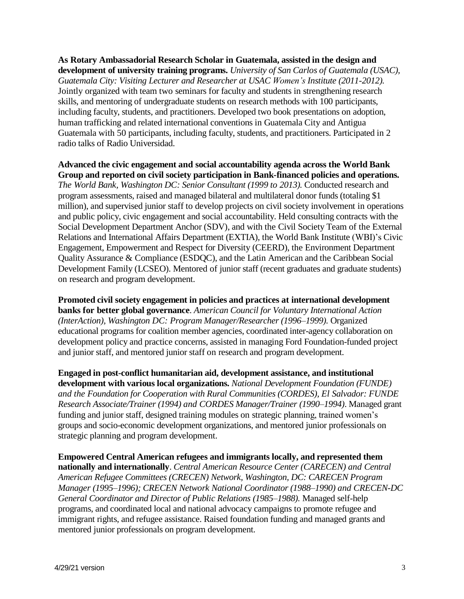**As Rotary Ambassadorial Research Scholar in Guatemala, assisted in the design and development of university training programs.** *University of San Carlos of Guatemala (USAC), Guatemala City: Visiting Lecturer and Researcher at USAC Women's Institute (2011-2012).*  Jointly organized with team two seminars for faculty and students in strengthening research skills, and mentoring of undergraduate students on research methods with 100 participants, including faculty, students, and practitioners. Developed two book presentations on adoption, human trafficking and related international conventions in Guatemala City and Antigua Guatemala with 50 participants, including faculty, students, and practitioners. Participated in 2 radio talks of Radio Universidad.

**Advanced the civic engagement and social accountability agenda across the World Bank Group and reported on civil society participation in Bank-financed policies and operations.**  *The World Bank, Washington DC: Senior Consultant (1999 to 2013).* Conducted research and program assessments, raised and managed bilateral and multilateral donor funds (totaling \$1 million), and supervised junior staff to develop projects on civil society involvement in operations and public policy, civic engagement and social accountability. Held consulting contracts with the Social Development Department Anchor (SDV), and with the Civil Society Team of the External Relations and International Affairs Department (EXTIA), the World Bank Institute (WBI)'s Civic Engagement, Empowerment and Respect for Diversity (CEERD), the Environment Department Quality Assurance & Compliance (ESDQC), and the Latin American and the Caribbean Social Development Family (LCSEO). Mentored of junior staff (recent graduates and graduate students) on research and program development.

**Promoted civil society engagement in policies and practices at international development banks for better global governance**. *American Council for Voluntary International Action (InterAction), Washington DC: Program Manager/Researcher (1996–1999).* Organized educational programs for coalition member agencies, coordinated inter-agency collaboration on development policy and practice concerns, assisted in managing Ford Foundation-funded project and junior staff, and mentored junior staff on research and program development.

**Engaged in post-conflict humanitarian aid, development assistance, and institutional development with various local organizations.** *National Development Foundation (FUNDE) and the Foundation for Cooperation with Rural Communities (CORDES), El Salvador: FUNDE Research Associate/Trainer (1994) and CORDES Manager/Trainer (1990–1994)*. Managed grant funding and junior staff, designed training modules on strategic planning, trained women's groups and socio-economic development organizations, and mentored junior professionals on strategic planning and program development.

**Empowered Central American refugees and immigrants locally, and represented them nationally and internationally**. *Central American Resource Center (CARECEN) and Central American Refugee Committees (CRECEN) Network, Washington, DC: CARECEN Program Manager (1995–1996); CRECEN Network National Coordinator (1988–1990) and CRECEN-DC General Coordinator and Director of Public Relations (1985–1988).* Managed self-help programs, and coordinated local and national advocacy campaigns to promote refugee and immigrant rights, and refugee assistance. Raised foundation funding and managed grants and mentored junior professionals on program development.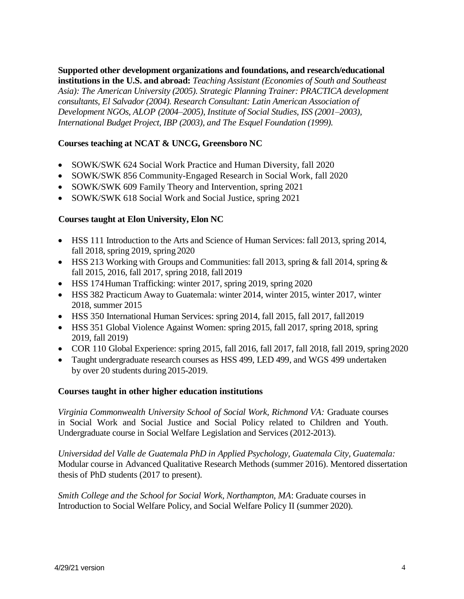**Supported other development organizations and foundations, and research/educational institutions in the U.S. and abroad:** *Teaching Assistant (Economies of South and Southeast Asia): The American University (2005). Strategic Planning Trainer: PRACTICA development consultants, El Salvador (2004). Research Consultant: Latin American Association of Development NGOs, ALOP (2004–2005), Institute of Social Studies, ISS (2001–2003), International Budget Project, IBP (2003), and The Esquel Foundation (1999).*

# **Courses teaching at NCAT & UNCG, Greensboro NC**

- SOWK/SWK 624 Social Work Practice and Human Diversity, fall 2020
- SOWK/SWK 856 Community-Engaged Research in Social Work, fall 2020
- SOWK/SWK 609 Family Theory and Intervention, spring 2021
- SOWK/SWK 618 Social Work and Social Justice, spring 2021

### **Courses taught at Elon University, Elon NC**

- HSS 111 Introduction to the Arts and Science of Human Services: fall 2013, spring 2014, fall 2018, spring 2019, spring 2020
- HSS 213 Working with Groups and Communities: fall 2013, spring & fall 2014, spring & fall 2015, 2016, fall 2017, spring 2018, fall 2019
- HSS 174Human Trafficking: winter 2017, spring 2019, spring 2020
- HSS 382 Practicum Away to Guatemala: winter 2014, winter 2015, winter 2017, winter 2018, summer 2015
- HSS 350 International Human Services: spring 2014, fall 2015, fall 2017, fall2019
- HSS 351 Global Violence Against Women: spring 2015, fall 2017, spring 2018, spring 2019, fall 2019)
- COR 110 Global Experience: spring 2015, fall 2016, fall 2017, fall 2018, fall 2019, spring2020
- Taught undergraduate research courses as HSS 499, LED 499, and WGS 499 undertaken by over 20 students during2015-2019.

### **Courses taught in other higher education institutions**

*Virginia Commonwealth University School of Social Work, Richmond VA:* Graduate courses in Social Work and Social Justice and Social Policy related to Children and Youth. Undergraduate course in Social Welfare Legislation and Services (2012-2013).

*Universidad del Valle de Guatemala PhD in Applied Psychology, Guatemala City, Guatemala:*  Modular course in Advanced Qualitative Research Methods (summer 2016). Mentored dissertation thesis of PhD students (2017 to present).

*Smith College and the School for Social Work, Northampton, MA*: Graduate courses in Introduction to Social Welfare Policy, and Social Welfare Policy II (summer 2020).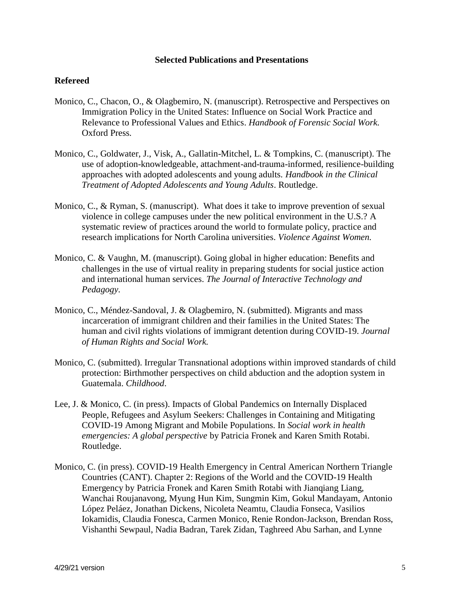#### **Selected Publications and Presentations**

### **Refereed**

- Monico, C., Chacon, O., & Olagbemiro, N. (manuscript). Retrospective and Perspectives on Immigration Policy in the United States: Influence on Social Work Practice and Relevance to Professional Values and Ethics. *Handbook of Forensic Social Work.*  Oxford Press.
- Monico, C., Goldwater, J., Visk, A., Gallatin-Mitchel, L. & Tompkins, C. (manuscript). The use of adoption-knowledgeable, attachment-and-trauma-informed, resilience-building approaches with adopted adolescents and young adults. *Handbook in the Clinical Treatment of Adopted Adolescents and Young Adults*. Routledge.
- Monico, C., & Ryman, S. (manuscript). What does it take to improve prevention of sexual violence in college campuses under the new political environment in the U.S.? A systematic review of practices around the world to formulate policy, practice and research implications for North Carolina universities. *Violence Against Women.*
- Monico, C. & Vaughn, M. (manuscript). Going global in higher education: Benefits and challenges in the use of virtual reality in preparing students for social justice action and international human services. *The Journal of Interactive Technology and Pedagogy.*
- Monico, C., Méndez-Sandoval, J. & Olagbemiro, N. (submitted). Migrants and mass incarceration of immigrant children and their families in the United States: The human and civil rights violations of immigrant detention during COVID-19. *Journal of Human Rights and Social Work.*
- Monico, C. (submitted). Irregular Transnational adoptions within improved standards of child protection: Birthmother perspectives on child abduction and the adoption system in Guatemala. *Childhood*.
- Lee, J. & Monico, C. (in press). Impacts of Global Pandemics on Internally Displaced People, Refugees and Asylum Seekers: Challenges in Containing and Mitigating COVID-19 Among Migrant and Mobile Populations. In *Social work in health emergencies: A global perspective* by Patricia Fronek and Karen Smith Rotabi. Routledge.
- Monico, C. (in press). COVID-19 Health Emergency in Central American Northern Triangle Countries (CANT). Chapter 2: Regions of the World and the COVID-19 Health Emergency by Patricia Fronek and Karen Smith Rotabi with Jianqiang Liang, Wanchai Roujanavong, Myung Hun Kim, Sungmin Kim, Gokul Mandayam, Antonio López Peláez, Jonathan Dickens, Nicoleta Neamtu, Claudia Fonseca, Vasilios Iokamidis, Claudia Fonesca, Carmen Monico, Renie Rondon-Jackson, Brendan Ross, Vishanthi Sewpaul, Nadia Badran, Tarek Zidan, Taghreed Abu Sarhan, and Lynne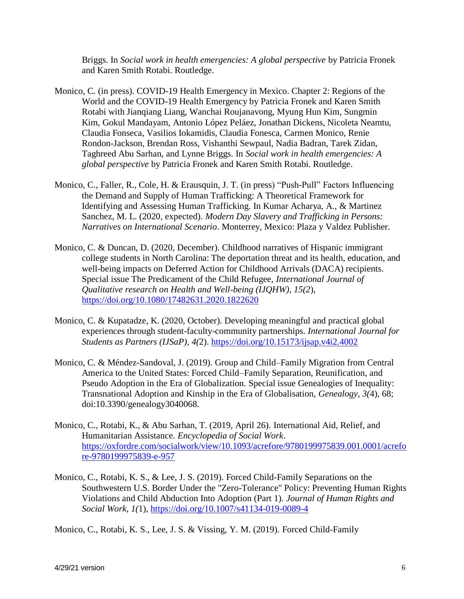Briggs. In *Social work in health emergencies: A global perspective* by Patricia Fronek and Karen Smith Rotabi. Routledge.

- Monico, C. (in press). COVID-19 Health Emergency in Mexico. Chapter 2: Regions of the World and the COVID-19 Health Emergency by Patricia Fronek and Karen Smith Rotabi with Jianqiang Liang, Wanchai Roujanavong, Myung Hun Kim, Sungmin Kim, Gokul Mandayam, Antonio López Peláez, Jonathan Dickens, Nicoleta Neamtu, Claudia Fonseca, Vasilios Iokamidis, Claudia Fonesca, Carmen Monico, Renie Rondon-Jackson, Brendan Ross, Vishanthi Sewpaul, Nadia Badran, Tarek Zidan, Taghreed Abu Sarhan, and Lynne Briggs. In *Social work in health emergencies: A global perspective* by Patricia Fronek and Karen Smith Rotabi. Routledge.
- Monico, C., Faller, R., Cole, H. & Erausquin, J. T. (in press) "Push-Pull" Factors Influencing the Demand and Supply of Human Trafficking: A Theoretical Framework for Identifying and Assessing Human Trafficking. In Kumar Acharya, A., & Martinez Sanchez, M. L. (2020, expected). *Modern Day Slavery and Trafficking in Persons: Narratives on International Scenario*. Monterrey, Mexico: Plaza y Valdez Publisher.
- Monico, C. & Duncan, D. (2020, December). Childhood narratives of Hispanic immigrant college students in North Carolina: The deportation threat and its health, education, and well-being impacts on Deferred Action for Childhood Arrivals (DACA) recipients. Special issue The Predicament of the Child Refugee, *International Journal of Qualitative research on Health and Well-being (IJQHW), 15(2*), <https://doi.org/10.1080/17482631.2020.1822620>
- Monico, C. & Kupatadze, K. (2020, October). Developing meaningful and practical global experiences through student-faculty-community partnerships. *International Journal for Students as Partners (IJSaP), 4(*2).<https://doi.org/10.15173/ijsap.v4i2.4002>
- Monico, C. & Méndez-Sandoval, J. (2019). Group and Child–Family Migration from Central America to the United States: Forced Child–Family Separation, Reunification, and Pseudo Adoption in the Era of Globalization. Special issue Genealogies of Inequality: Transnational Adoption and Kinship in the Era of Globalisation, *Genealogy, 3(*4), 68; doi:10.3390/genealogy3040068.
- Monico, C., Rotabi, K., & Abu Sarhan, T. (2019, April 26). International Aid, Relief, and Humanitarian Assistance. *Encyclopedia of Social Work*. [https://oxfordre.com/socialwork/view/10.1093/acrefore/9780199975839.001.0001/acrefo](https://oxfordre.com/socialwork/view/10.1093/acrefore/9780199975839.001.0001/acrefore) [re](https://oxfordre.com/socialwork/view/10.1093/acrefore/9780199975839.001.0001/acrefore)[-9780199975839-e-957](https://oxfordre.com/socialwork/view/10.1093/acrefore/9780199975839.001.0001/acrefore-9780199975839-e-957)
- Monico, C., Rotabi, K. S., & Lee, J. S. (2019). Forced Child-Family Separations on the Southwestern U.S. Border Under the "Zero-Tolerance" Policy: Preventing Human Rights Violations and Child Abduction Into Adoption (Part 1). *Journal of Human Rights and Social Work, 1(*1),<https://doi.org/10.1007/s41134-019-0089-4>

Monico, C., Rotabi, K. S., Lee, J. S. & Vissing, Y. M. (2019). Forced Child-Family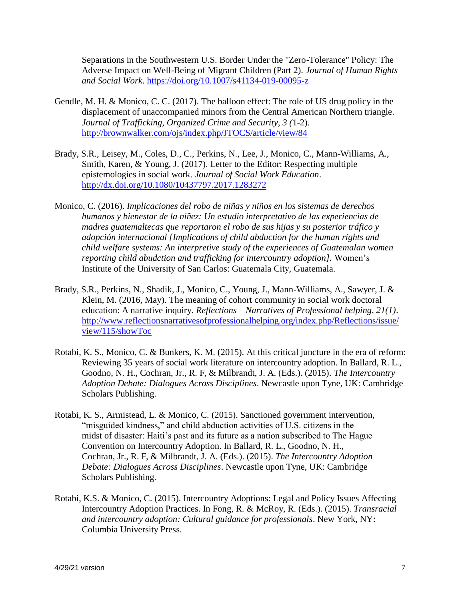Separations in the Southwestern U.S. Border Under the "Zero-Tolerance" Policy: The Adverse Impact on Well-Being of Migrant Children (Part 2). *Journal of Human Rights and Social Work*.<https://doi.org/10.1007/s41134-019-00095-z>

- Gendle, M. H. & Monico, C. C. (2017). The balloon effect: The role of US drug policy in the displacement of unaccompanied minors from the Central American Northern triangle. *Journal of Trafficking, Organized Crime and Security, 3 (*1-2). <http://brownwalker.com/ojs/index.php/JTOCS/article/view/84>
- Brady, S.R., Leisey, M., Coles, D., C., Perkins, N., Lee, J., Monico, C., Mann-Williams, A., Smith, Karen, & Young, J. (2017). Letter to the Editor: Respecting multiple epistemologies in social work. *Journal of Social Work Education*. <http://dx.doi.org/10.1080/10437797.2017.1283272>
- Monico, C. (2016). *Implicaciones del robo de niñas y niños en los sistemas de derechos humanos y bienestar de la niñez: Un estudio interpretativo de las experiencias de madres guatemaltecas que reportaron el robo de sus hijas y su posterior tráfico y adopción internacional [Implications of child abduction for the human rights and child welfare systems: An interpretive study of the experiences of Guatemalan women reporting child abudction and trafficking for intercountry adoption].* Women's Institute of the University of San Carlos: Guatemala City, Guatemala.
- Brady, S.R., Perkins, N., Shadik, J., Monico, C., Young, J., Mann-Williams, A., Sawyer, J. & Klein, M. (2016, May). The meaning of cohort community in social work doctoral education: A narrative inquiry. *Reflections – Narratives of Professional helping, 21(1)*. [http://www.reflectionsnarrativesofprofessionalhelping.org/index.php/Reflections/issue/](http://www.reflectionsnarrativesofprofessionalhelping.org/index.php/Reflections/issue/view/115/showToc) [view/115/showToc](http://www.reflectionsnarrativesofprofessionalhelping.org/index.php/Reflections/issue/view/115/showToc)
- Rotabi, K. S., Monico, C. & Bunkers, K. M. (2015). At this critical juncture in the era of reform: Reviewing 35 years of social work literature on intercountry adoption. In Ballard, R. L., Goodno, N. H., Cochran, Jr., R. F, & Milbrandt, J. A. (Eds.). (2015). *The Intercountry Adoption Debate: Dialogues Across Disciplines*. Newcastle upon Tyne, UK: Cambridge Scholars Publishing.
- Rotabi, K. S., Armistead, L. & Monico, C. (2015). Sanctioned government intervention, "misguided kindness," and child abduction activities of U.S. citizens in the midst of disaster: Haiti's past and its future as a nation subscribed to The Hague Convention on Intercountry Adoption. In Ballard, R. L., Goodno, N. H., Cochran, Jr., R. F, & Milbrandt, J. A. (Eds.). (2015). *The Intercountry Adoption Debate: Dialogues Across Disciplines*. Newcastle upon Tyne, UK: Cambridge Scholars Publishing.
- Rotabi, K.S. & Monico, C. (2015). Intercountry Adoptions: Legal and Policy Issues Affecting Intercountry Adoption Practices. In Fong, R. & McRoy, R. (Eds.). (2015). *Transracial and intercountry adoption: Cultural guidance for professionals*. New York, NY: Columbia University Press.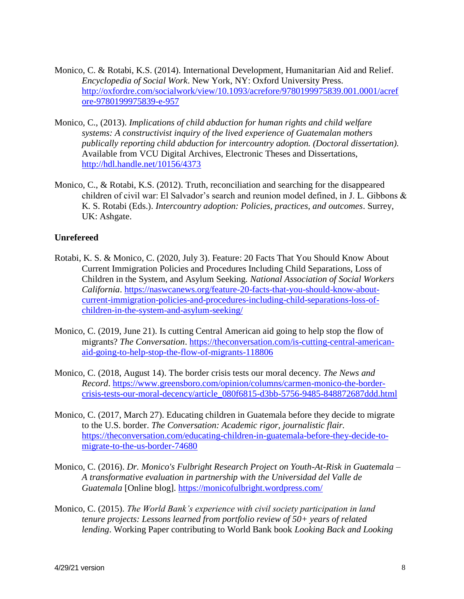- Monico, C. & Rotabi, K.S. (2014). International Development, Humanitarian Aid and Relief. *Encyclopedia of Social Work*. New York, NY: Oxford University Press. [http://oxfordre.com/socialwork/view/10.1093/acrefore/9780199975839.001.0001/acref](http://oxfordre.com/socialwork/view/10.1093/acrefore/9780199975839.001.0001/acrefore-9780199975839-e-957) [ore-9780199975839-e-957](http://oxfordre.com/socialwork/view/10.1093/acrefore/9780199975839.001.0001/acrefore-9780199975839-e-957)
- Monico, C., (2013). *Implications of child abduction for human rights and child welfare systems: A constructivist inquiry of the lived experience of Guatemalan mothers publically reporting child abduction for intercountry adoption. (Doctoral dissertation).*  Available from VCU Digital Archives, Electronic Theses and Dissertations, <http://hdl.handle.net/10156/4373>
- Monico, C., & Rotabi, K.S. (2012). Truth, reconciliation and searching for the disappeared children of civil war: El Salvador's search and reunion model defined, in J. L. Gibbons & K. S. Rotabi (Eds.). *Intercountry adoption: Policies, practices, and outcomes*. Surrey, UK: Ashgate.

### **Unrefereed**

- Rotabi, K. S. & Monico, C. (2020, July 3). Feature: 20 Facts That You Should Know About Current Immigration Policies and Procedures Including Child Separations, Loss of Children in the System, and Asylum Seeking. *National Association of Social Workers California*. [https://naswcanews.org/feature-20-facts-that-you-should-know-about](https://naswcanews.org/feature-20-facts-that-you-should-know-about-current-immigration-policies-and-procedures-including-child-separations-loss-of-children-in-the-system-and-asylum-seeking/)[current-immigration-policies-and-procedures-including-child-separations-loss-of](https://naswcanews.org/feature-20-facts-that-you-should-know-about-current-immigration-policies-and-procedures-including-child-separations-loss-of-children-in-the-system-and-asylum-seeking/)[children-in-the-system-and-asylum-seeking/](https://naswcanews.org/feature-20-facts-that-you-should-know-about-current-immigration-policies-and-procedures-including-child-separations-loss-of-children-in-the-system-and-asylum-seeking/)
- Monico, C. (2019, June 21). Is cutting Central American aid going to help stop the flow of migrants? *The Conversation*. [https://theconversation.com/is-cutting-central-american](https://theconversation.com/is-cutting-central-american-aid-going-to-help-stop-the-flow-of-migrants-118806)[aid-going-to-help-stop-the-flow-of-migrants-118806](https://theconversation.com/is-cutting-central-american-aid-going-to-help-stop-the-flow-of-migrants-118806)
- Monico, C. (2018, August 14). The border crisis tests our moral decency. *The News and Record*. [https://www.greensboro.com/opinion/columns/carmen-monico-the-border](https://www.greensboro.com/opinion/columns/carmen-monico-the-border-crisis-tests-our-moral-decency/article_080f6815-d3bb-5756-9485-848872687ddd.html)[crisis-tests-our-moral-decency/article\\_080f6815-d3bb-5756-9485-848872687ddd.html](https://www.greensboro.com/opinion/columns/carmen-monico-the-border-crisis-tests-our-moral-decency/article_080f6815-d3bb-5756-9485-848872687ddd.html)
- Monico, C. (2017, March 27). Educating children in Guatemala before they decide to migrate to the U.S. border. *The Conversation: Academic rigor, journalistic flair.*  [https://theconversation.com/educating-children-in-guatemala-before-they-decide-to](https://theconversation.com/educating-children-in-guatemala-before-they-decide-to-migrate-to-the-us-border-74680)[migrate-to-the-us-border-74680](https://theconversation.com/educating-children-in-guatemala-before-they-decide-to-migrate-to-the-us-border-74680)
- Monico, C. (2016). *Dr. Monico's Fulbright Research Project on Youth-At-Risk in Guatemala – A transformative evaluation in partnership with the Universidad del Valle de Guatemala* [Online blog].<https://monicofulbright.wordpress.com/>
- Monico, C. (2015). *The World Bank's experience with civil society participation in land tenure projects: Lessons learned from portfolio review of 50+ years of related lending*. Working Paper contributing to World Bank book *Looking Back and Looking*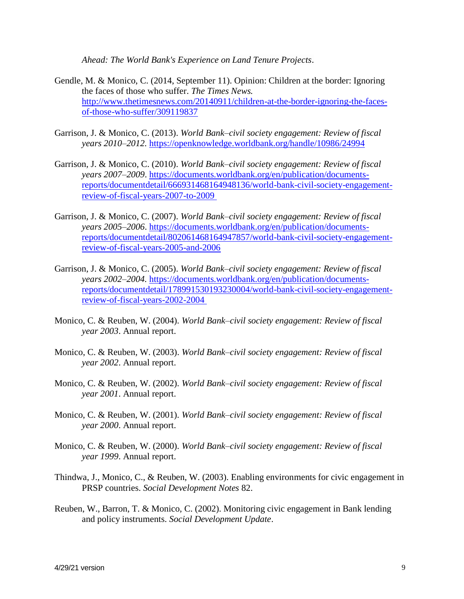*Ahead: The World Bank's Experience on Land Tenure Projects*.

- Gendle, M. & Monico, C. (2014, September 11). Opinion: Children at the border: Ignoring the faces of those who suffer. *The Times News.* [http://www.thetimesnews.com/20140911/children-at-the-border-ignoring-the-faces](http://www.thetimesnews.com/20140911/children-at-the-border-ignoring-the-faces-of-those-who-suffer/309119837)[of-those-who-suffer/309119837](http://www.thetimesnews.com/20140911/children-at-the-border-ignoring-the-faces-of-those-who-suffer/309119837)
- Garrison, J. & Monico, C. (2013). *World Bank–civil society engagement: Review of fiscal years 2010–2012.* <https://openknowledge.worldbank.org/handle/10986/24994>
- Garrison, J. & Monico, C. (2010). *World Bank–civil society engagement: Review of fiscal years 2007–2009*. [https://documents.worldbank.org/en/publication/documents](https://documents.worldbank.org/en/publication/documents-reports/documentdetail/666931468164948136/world-bank-civil-society-engagement-review-of-fiscal-years-2007-to-2009)[reports/documentdetail/666931468164948136/world-bank-civil-society-engagement](https://documents.worldbank.org/en/publication/documents-reports/documentdetail/666931468164948136/world-bank-civil-society-engagement-review-of-fiscal-years-2007-to-2009)[review-of-fiscal-years-2007-to-2009](https://documents.worldbank.org/en/publication/documents-reports/documentdetail/666931468164948136/world-bank-civil-society-engagement-review-of-fiscal-years-2007-to-2009)
- Garrison, J. & Monico, C. (2007). *World Bank–civil society engagement: Review of fiscal years 2005–2006*. https://documents.worldbank.org/en/publication/documentsreports/documentdetail/802061468164947857/world-bank-civil-society-engagementreview-of-fiscal-years-2005-and-2006
- Garrison, J. & Monico, C. (2005). *World Bank–civil society engagement: Review of fiscal years 2002–2004.* [https://documents.worldbank.org/en/publication/documents](https://documents.worldbank.org/en/publication/documents-reports/documentdetail/178991530193230004/world-bank-civil-society-engagement-review-of-fiscal-years-2002-2004)[reports/documentdetail/178991530193230004/world-bank-civil-society-engagement](https://documents.worldbank.org/en/publication/documents-reports/documentdetail/178991530193230004/world-bank-civil-society-engagement-review-of-fiscal-years-2002-2004)[review-of-fiscal-years-2002-2004](https://documents.worldbank.org/en/publication/documents-reports/documentdetail/178991530193230004/world-bank-civil-society-engagement-review-of-fiscal-years-2002-2004)
- Monico, C. & Reuben, W. (2004). *World Bank–civil society engagement: Review of fiscal year 2003*. Annual report.
- Monico, C. & Reuben, W. (2003). *World Bank–civil society engagement: Review of fiscal year 2002*. Annual report.
- Monico, C. & Reuben, W. (2002). *World Bank–civil society engagement: Review of fiscal year 2001*. Annual report.
- Monico, C. & Reuben, W. (2001). *World Bank–civil society engagement: Review of fiscal year 2000*. Annual report.
- Monico, C. & Reuben, W. (2000). *World Bank–civil society engagement: Review of fiscal year 1999*. Annual report.
- Thindwa, J., Monico, C., & Reuben, W. (2003). Enabling environments for civic engagement in PRSP countries. *Social Development Notes* 82.
- Reuben, W., Barron, T. & Monico, C. (2002). Monitoring civic engagement in Bank lending and policy instruments. *Social Development Update*.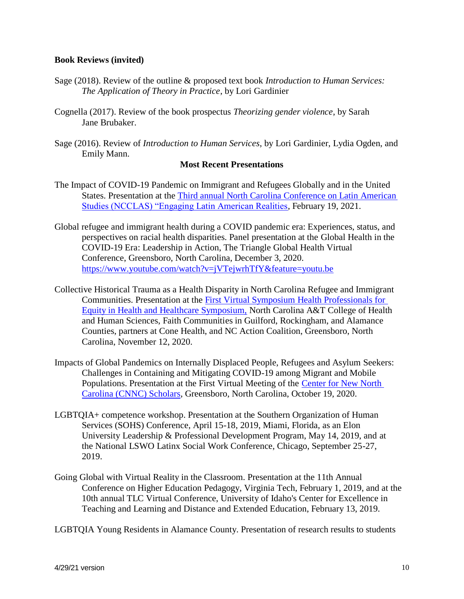### **Book Reviews (invited)**

- Sage (2018). Review of the outline & proposed text book *Introduction to Human Services: The Application of Theory in Practice*, by Lori Gardinier
- Cognella (2017). Review of the book prospectus *Theorizing gender violence*, by Sarah Jane Brubaker.
- Sage (2016). Review of *Introduction to Human Services*, by Lori Gardinier, Lydia Ogden, and Emily Mann.

#### **Most Recent Presentations**

- The Impact of COVID-19 Pandemic on Immigrant and Refugees Globally and in the United States. Presentation at the [Third annual North Carolina Conference on Latin American](https://lacsconsortium.org/saturday-feb-20-program/)  [Studies \(NCCLAS\) "Engaging Latin American Realities,](https://lacsconsortium.org/saturday-feb-20-program/) February 19, 2021.
- Global refugee and immigrant health during a COVID pandemic era: Experiences, status, and perspectives on racial health disparities. Panel presentation at the Global Health in the COVID-19 Era: Leadership in Action, The Triangle Global Health Virtual Conference, Greensboro, North Carolina, December 3, 2020. <https://www.youtube.com/watch?v=jVTejwrhTfY&feature=youtu.be>
- Collective Historical Trauma as a Health Disparity in North Carolina Refugee and Immigrant Communities. Presentation at the [First Virtual Symposium Health Professionals for](https://www.ncat.edu/chhs/health-disparities-symposium-presenters.php)  [Equity in Health and Healthcare Symposium,](https://www.ncat.edu/chhs/health-disparities-symposium-presenters.php) North Carolina A&T College of Health and Human Sciences, Faith Communities in Guilford, Rockingham, and Alamance Counties, partners at Cone Health, and NC Action Coalition, Greensboro, North Carolina, November 12, 2020.
- Impacts of Global Pandemics on Internally Displaced People, Refugees and Asylum Seekers: Challenges in Containing and Mitigating COVID-19 among Migrant and Mobile Populations. Presentation at the First Virtual Meeting of the [Center for New North](https://cnnc.uncg.edu/current-cnnc-research-fellows/)  [Carolina \(CNNC\) Scholars,](https://cnnc.uncg.edu/current-cnnc-research-fellows/) Greensboro, North Carolina, October 19, 2020.
- LGBTQIA+ competence workshop. Presentation at the Southern Organization of Human Services (SOHS) Conference, April 15-18, 2019, Miami, Florida, as an Elon University Leadership & Professional Development Program, May 14, 2019, and at the National LSWO Latinx Social Work Conference, Chicago, September 25-27, 2019.
- Going Global with Virtual Reality in the Classroom. Presentation at the 11th Annual Conference on Higher Education Pedagogy, Virginia Tech, February 1, 2019, and at the 10th annual TLC Virtual Conference, University of Idaho's Center for Excellence in Teaching and Learning and Distance and Extended Education, February 13, 2019.

LGBTQIA Young Residents in Alamance County. Presentation of research results to students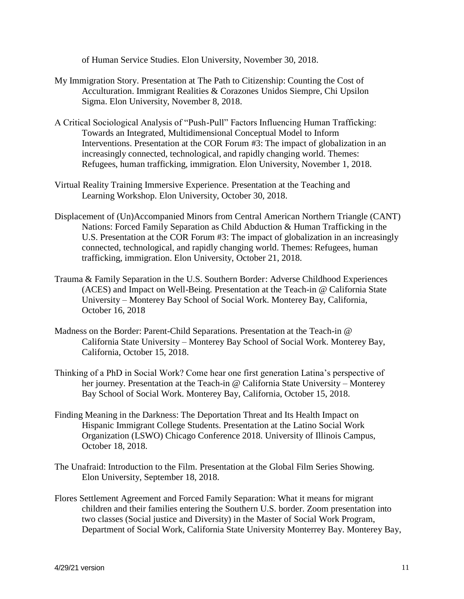of Human Service Studies. Elon University, November 30, 2018.

- My Immigration Story. Presentation at The Path to Citizenship: Counting the Cost of Acculturation. Immigrant Realities & Corazones Unidos Siempre, Chi Upsilon Sigma. Elon University, November 8, 2018.
- A Critical Sociological Analysis of "Push-Pull" Factors Influencing Human Trafficking: Towards an Integrated, Multidimensional Conceptual Model to Inform Interventions. Presentation at the COR Forum #3: The impact of globalization in an increasingly connected, technological, and rapidly changing world. Themes: Refugees, human trafficking, immigration. Elon University, November 1, 2018.
- Virtual Reality Training Immersive Experience. Presentation at the Teaching and Learning Workshop. Elon University, October 30, 2018.
- Displacement of (Un)Accompanied Minors from Central American Northern Triangle (CANT) Nations: Forced Family Separation as Child Abduction & Human Trafficking in the U.S. Presentation at the COR Forum #3: The impact of globalization in an increasingly connected, technological, and rapidly changing world. Themes: Refugees, human trafficking, immigration. Elon University, October 21, 2018.
- Trauma & Family Separation in the U.S. Southern Border: Adverse Childhood Experiences (ACES) and Impact on Well-Being. Presentation at the Teach-in @ California State University – Monterey Bay School of Social Work. Monterey Bay, California, October 16, 2018
- Madness on the Border: Parent-Child Separations. Presentation at the Teach-in @ California State University – Monterey Bay School of Social Work. Monterey Bay, California, October 15, 2018.
- Thinking of a PhD in Social Work? Come hear one first generation Latina's perspective of her journey. Presentation at the Teach-in @ California State University – Monterey Bay School of Social Work. Monterey Bay, California, October 15, 2018.
- Finding Meaning in the Darkness: The Deportation Threat and Its Health Impact on Hispanic Immigrant College Students. Presentation at the Latino Social Work Organization (LSWO) Chicago Conference 2018. University of Illinois Campus, October 18, 2018.
- The Unafraid: Introduction to the Film. Presentation at the Global Film Series Showing. Elon University, September 18, 2018.
- Flores Settlement Agreement and Forced Family Separation: What it means for migrant children and their families entering the Southern U.S. border. Zoom presentation into two classes (Social justice and Diversity) in the Master of Social Work Program, Department of Social Work, California State University Monterrey Bay. Monterey Bay,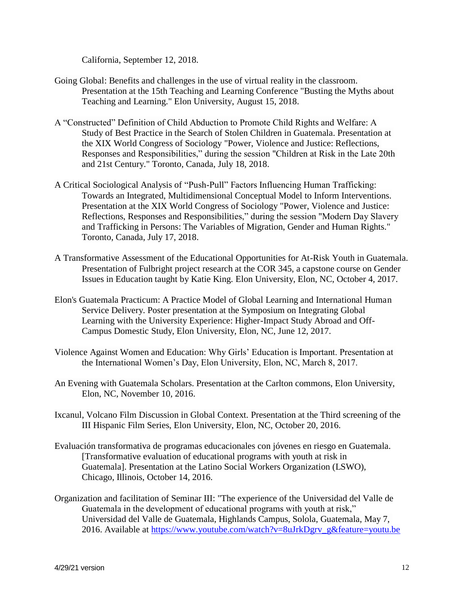California, September 12, 2018.

- Going Global: Benefits and challenges in the use of virtual reality in the classroom. Presentation at the 15th Teaching and Learning Conference "Busting the Myths about Teaching and Learning." Elon University, August 15, 2018.
- A "Constructed" Definition of Child Abduction to Promote Child Rights and Welfare: A Study of Best Practice in the Search of Stolen Children in Guatemala. Presentation at the XIX World Congress of Sociology "Power, Violence and Justice: Reflections, Responses and Responsibilities," during the session "Children at Risk in the Late 20th and 21st Century." Toronto, Canada, July 18, 2018.
- A Critical Sociological Analysis of "Push-Pull" Factors Influencing Human Trafficking: Towards an Integrated, Multidimensional Conceptual Model to Inform Interventions. Presentation at the XIX World Congress of Sociology "Power, Violence and Justice: Reflections, Responses and Responsibilities," during the session "Modern Day Slavery and Trafficking in Persons: The Variables of Migration, Gender and Human Rights." Toronto, Canada, July 17, 2018.
- A Transformative Assessment of the Educational Opportunities for At-Risk Youth in Guatemala. Presentation of Fulbright project research at the COR 345, a capstone course on Gender Issues in Education taught by Katie King. Elon University, Elon, NC, October 4, 2017.
- Elon's Guatemala Practicum: A Practice Model of Global Learning and International Human Service Delivery. Poster presentation at the Symposium on Integrating Global Learning with the University Experience: Higher-Impact Study Abroad and Off-Campus Domestic Study, Elon University, Elon, NC, June 12, 2017.
- Violence Against Women and Education: Why Girls' Education is Important. Presentation at the International Women's Day, Elon University, Elon, NC, March 8, 2017.
- An Evening with Guatemala Scholars. Presentation at the Carlton commons, Elon University, Elon, NC, November 10, 2016.
- Ixcanul, Volcano Film Discussion in Global Context. Presentation at the Third screening of the III Hispanic Film Series, Elon University, Elon, NC, October 20, 2016.
- Evaluación transformativa de programas educacionales con jóvenes en riesgo en Guatemala. [Transformative evaluation of educational programs with youth at risk in Guatemala]. Presentation at the Latino Social Workers Organization (LSWO), Chicago, Illinois, October 14, 2016.
- Organization and facilitation of Seminar III: "The experience of the Universidad del Valle de Guatemala in the development of educational programs with youth at risk," Universidad del Valle de Guatemala, Highlands Campus, Solola, Guatemala, May 7, 2016. Available at [https://www.youtube.com/watch?v=8uJrkDgrv\\_g&feature=youtu.be](https://www.youtube.com/watch?v=8uJrkDgrv_g&feature=youtu.be)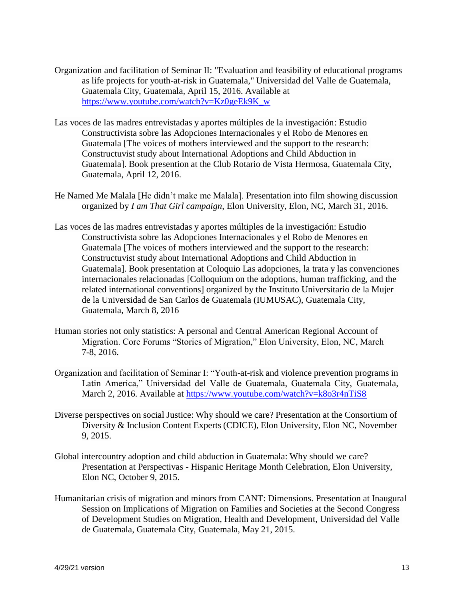- Organization and facilitation of Seminar II: "Evaluation and feasibility of educational programs as life projects for youth-at-risk in Guatemala," Universidad del Valle de Guatemala, Guatemala City, Guatemala, April 15, 2016. Available at [https://www.youtube.com/watch?v=Kz0geEk9K\\_w](https://www.youtube.com/watch?v=Kz0geEk9K_w)
- Las voces de las madres entrevistadas y aportes múltiples de la investigación: Estudio Constructivista sobre las Adopciones Internacionales y el Robo de Menores en Guatemala [The voices of mothers interviewed and the support to the research: Constructuvist study about International Adoptions and Child Abduction in Guatemala]. Book presention at the Club Rotario de Vista Hermosa, Guatemala City, Guatemala, April 12, 2016.
- He Named Me Malala [He didn't make me Malala]. Presentation into film showing discussion organized by *I am That Girl campaign*, Elon University, Elon, NC, March 31, 2016.
- Las voces de las madres entrevistadas y aportes múltiples de la investigación: Estudio Constructivista sobre las Adopciones Internacionales y el Robo de Menores en Guatemala [The voices of mothers interviewed and the support to the research: Constructuvist study about International Adoptions and Child Abduction in Guatemala]. Book presentation at Coloquio Las adopciones, la trata y las convenciones internacionales relacionadas [Colloquium on the adoptions, human trafficking, and the related international conventions] organized by the Instituto Universitario de la Mujer de la Universidad de San Carlos de Guatemala (IUMUSAC), Guatemala City, Guatemala, March 8, 2016
- Human stories not only statistics: A personal and Central American Regional Account of Migration. Core Forums "Stories of Migration," Elon University, Elon, NC, March 7-8, 2016.
- Organization and facilitation of Seminar I: "Youth-at-risk and violence prevention programs in Latin America," Universidad del Valle de Guatemala, Guatemala City, Guatemala, March 2, 2016. Available at<https://www.youtube.com/watch?v=k8o3r4nTiS8>
- Diverse perspectives on social Justice: Why should we care? Presentation at the Consortium of Diversity & Inclusion Content Experts (CDICE), Elon University, Elon NC, November 9, 2015.
- Global intercountry adoption and child abduction in Guatemala: Why should we care? Presentation at Perspectivas - Hispanic Heritage Month Celebration, Elon University, Elon NC, October 9, 2015.
- Humanitarian crisis of migration and minors from CANT: Dimensions. Presentation at Inaugural Session on Implications of Migration on Families and Societies at the Second Congress of Development Studies on Migration, Health and Development, Universidad del Valle de Guatemala, Guatemala City, Guatemala, May 21, 2015.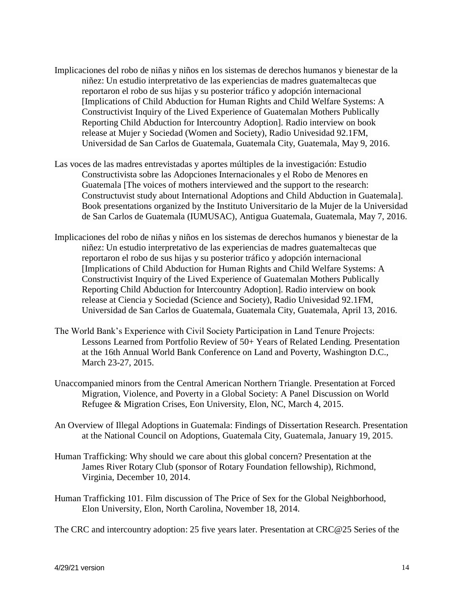- Implicaciones del robo de niñas y niños en los sistemas de derechos humanos y bienestar de la niñez: Un estudio interpretativo de las experiencias de madres guatemaltecas que reportaron el robo de sus hijas y su posterior tráfico y adopción internacional [Implications of Child Abduction for Human Rights and Child Welfare Systems: A Constructivist Inquiry of the Lived Experience of Guatemalan Mothers Publically Reporting Child Abduction for Intercountry Adoption]. Radio interview on book release at Mujer y Sociedad (Women and Society), Radio Univesidad 92.1FM, Universidad de San Carlos de Guatemala, Guatemala City, Guatemala, May 9, 2016.
- Las voces de las madres entrevistadas y aportes múltiples de la investigación: Estudio Constructivista sobre las Adopciones Internacionales y el Robo de Menores en Guatemala [The voices of mothers interviewed and the support to the research: Constructuvist study about International Adoptions and Child Abduction in Guatemala]. Book presentations organized by the Instituto Universitario de la Mujer de la Universidad de San Carlos de Guatemala (IUMUSAC), Antigua Guatemala, Guatemala, May 7, 2016.
- Implicaciones del robo de niñas y niños en los sistemas de derechos humanos y bienestar de la niñez: Un estudio interpretativo de las experiencias de madres guatemaltecas que reportaron el robo de sus hijas y su posterior tráfico y adopción internacional [Implications of Child Abduction for Human Rights and Child Welfare Systems: A Constructivist Inquiry of the Lived Experience of Guatemalan Mothers Publically Reporting Child Abduction for Intercountry Adoption]. Radio interview on book release at Ciencia y Sociedad (Science and Society), Radio Univesidad 92.1FM, Universidad de San Carlos de Guatemala, Guatemala City, Guatemala, April 13, 2016.
- The World Bank's Experience with Civil Society Participation in Land Tenure Projects: Lessons Learned from Portfolio Review of 50+ Years of Related Lending. Presentation at the 16th Annual World Bank Conference on Land and Poverty, Washington D.C., March 23-27, 2015.
- Unaccompanied minors from the Central American Northern Triangle. Presentation at Forced Migration, Violence, and Poverty in a Global Society: A Panel Discussion on World Refugee & Migration Crises, Eon University, Elon, NC, March 4, 2015.
- An Overview of Illegal Adoptions in Guatemala: Findings of Dissertation Research. Presentation at the National Council on Adoptions, Guatemala City, Guatemala, January 19, 2015.
- Human Trafficking: Why should we care about this global concern? Presentation at the James River Rotary Club (sponsor of Rotary Foundation fellowship), Richmond, Virginia, December 10, 2014.
- Human Trafficking 101. Film discussion of The Price of Sex for the Global Neighborhood, Elon University, Elon, North Carolina, November 18, 2014.

The CRC and intercountry adoption: 25 five years later. Presentation at CRC@25 Series of the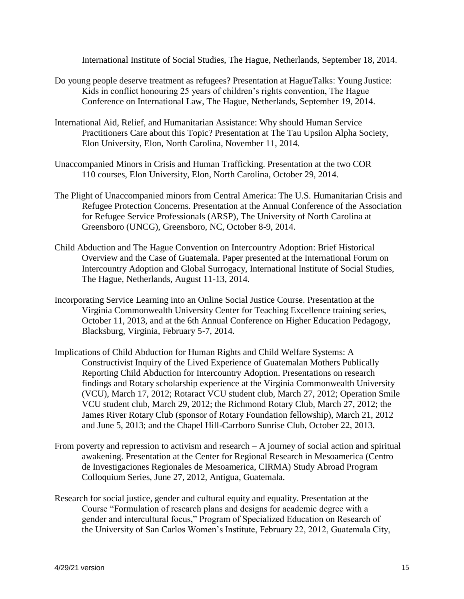International Institute of Social Studies, The Hague, Netherlands, September 18, 2014.

- Do young people deserve treatment as refugees? Presentation at HagueTalks: Young Justice: Kids in conflict honouring 25 years of children's rights convention, The Hague Conference on International Law, The Hague, Netherlands, September 19, 2014.
- International Aid, Relief, and Humanitarian Assistance: Why should Human Service Practitioners Care about this Topic? Presentation at The Tau Upsilon Alpha Society, Elon University, Elon, North Carolina, November 11, 2014.
- Unaccompanied Minors in Crisis and Human Trafficking. Presentation at the two COR 110 courses, Elon University, Elon, North Carolina, October 29, 2014.
- The Plight of Unaccompanied minors from Central America: The U.S. Humanitarian Crisis and Refugee Protection Concerns. Presentation at the Annual Conference of the Association for Refugee Service Professionals (ARSP), The University of North Carolina at Greensboro (UNCG), Greensboro, NC, October 8-9, 2014.
- Child Abduction and The Hague Convention on Intercountry Adoption: Brief Historical Overview and the Case of Guatemala. Paper presented at the International Forum on Intercountry Adoption and Global Surrogacy, International Institute of Social Studies, The Hague, Netherlands, August 11-13, 2014.
- Incorporating Service Learning into an Online Social Justice Course. Presentation at the Virginia Commonwealth University Center for Teaching Excellence training series, October 11, 2013, and at the 6th Annual Conference on Higher Education Pedagogy, Blacksburg, Virginia, February 5-7, 2014.
- Implications of Child Abduction for Human Rights and Child Welfare Systems: A Constructivist Inquiry of the Lived Experience of Guatemalan Mothers Publically Reporting Child Abduction for Intercountry Adoption. Presentations on research findings and Rotary scholarship experience at the Virginia Commonwealth University (VCU), March 17, 2012; Rotaract VCU student club, March 27, 2012; Operation Smile VCU student club, March 29, 2012; the Richmond Rotary Club, March 27, 2012; the James River Rotary Club (sponsor of Rotary Foundation fellowship), March 21, 2012 and June 5, 2013; and the Chapel Hill-Carrboro Sunrise Club, October 22, 2013.
- From poverty and repression to activism and research  $A$  journey of social action and spiritual awakening. Presentation at the Center for Regional Research in Mesoamerica (Centro de Investigaciones Regionales de Mesoamerica, CIRMA) Study Abroad Program Colloquium Series, June 27, 2012, Antigua, Guatemala.
- Research for social justice, gender and cultural equity and equality. Presentation at the Course "Formulation of research plans and designs for academic degree with a gender and intercultural focus," Program of Specialized Education on Research of the University of San Carlos Women's Institute, February 22, 2012, Guatemala City,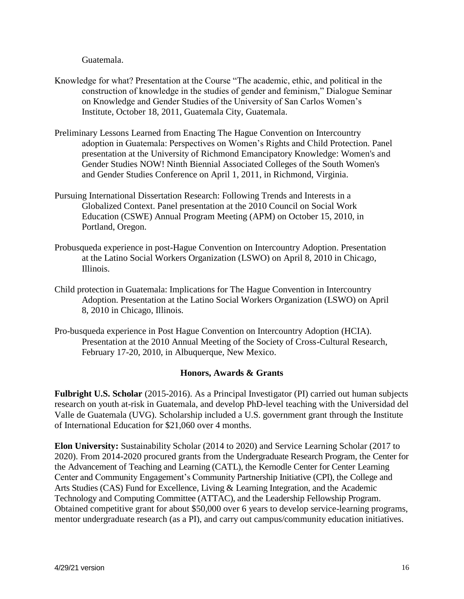Guatemala.

- Knowledge for what? Presentation at the Course "The academic, ethic, and political in the construction of knowledge in the studies of gender and feminism," Dialogue Seminar on Knowledge and Gender Studies of the University of San Carlos Women's Institute, October 18, 2011, Guatemala City, Guatemala.
- Preliminary Lessons Learned from Enacting The Hague Convention on Intercountry adoption in Guatemala: Perspectives on Women's Rights and Child Protection. Panel presentation at the University of Richmond Emancipatory Knowledge: Women's and Gender Studies NOW! Ninth Biennial Associated Colleges of the South Women's and Gender Studies Conference on April 1, 2011, in Richmond, Virginia.
- Pursuing International Dissertation Research: Following Trends and Interests in a Globalized Context. Panel presentation at the 2010 Council on Social Work Education (CSWE) Annual Program Meeting (APM) on October 15, 2010, in Portland, Oregon.
- Probusqueda experience in post-Hague Convention on Intercountry Adoption. Presentation at the Latino Social Workers Organization (LSWO) on April 8, 2010 in Chicago, Illinois.
- Child protection in Guatemala: Implications for The Hague Convention in Intercountry Adoption. Presentation at the Latino Social Workers Organization (LSWO) on April 8, 2010 in Chicago, Illinois.
- Pro-busqueda experience in Post Hague Convention on Intercountry Adoption (HCIA). Presentation at the 2010 Annual Meeting of the Society of Cross-Cultural Research, February 17-20, 2010, in Albuquerque, New Mexico.

### **Honors, Awards & Grants**

**Fulbright U.S. Scholar** (2015-2016). As a Principal Investigator (PI) carried out human subjects research on youth at-risk in Guatemala, and develop PhD-level teaching with the Universidad del Valle de Guatemala (UVG). Scholarship included a U.S. government grant through the Institute of International Education for \$21,060 over 4 months.

**Elon University:** Sustainability Scholar (2014 to 2020) and Service Learning Scholar (2017 to 2020). From 2014-2020 procured grants from the Undergraduate Research Program, the Center for the Advancement of Teaching and Learning (CATL), the Kernodle Center for Center Learning Center and Community Engagement's Community Partnership Initiative (CPI), the College and Arts Studies (CAS) Fund for Excellence, Living & Learning Integration, and the Academic Technology and Computing Committee (ATTAC), and the Leadership Fellowship Program. Obtained competitive grant for about \$50,000 over 6 years to develop service-learning programs, mentor undergraduate research (as a PI), and carry out campus/community education initiatives.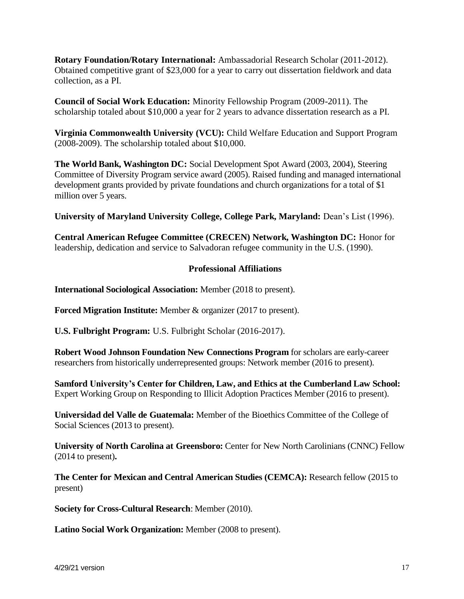**Rotary Foundation/Rotary International:** Ambassadorial Research Scholar (2011-2012). Obtained competitive grant of \$23,000 for a year to carry out dissertation fieldwork and data collection, as a PI.

**Council of Social Work Education:** Minority Fellowship Program (2009-2011). The scholarship totaled about \$10,000 a year for 2 years to advance dissertation research as a PI.

**Virginia Commonwealth University (VCU):** Child Welfare Education and Support Program (2008-2009). The scholarship totaled about \$10,000.

**The World Bank, Washington DC:** Social Development Spot Award (2003, 2004), Steering Committee of Diversity Program service award (2005). Raised funding and managed international development grants provided by private foundations and church organizations for a total of \$1 million over 5 years.

**University of Maryland University College, College Park, Maryland:** Dean's List (1996).

**Central American Refugee Committee (CRECEN) Network, Washington DC:** Honor for leadership, dedication and service to Salvadoran refugee community in the U.S. (1990).

# **Professional Affiliations**

**International Sociological Association:** Member (2018 to present).

**Forced Migration Institute:** Member & organizer (2017 to present).

**U.S. Fulbright Program:** U.S. Fulbright Scholar (2016-2017).

**Robert Wood Johnson Foundation New Connections Program** for scholars are early-career researchers from historically underrepresented groups: Network member (2016 to present).

**Samford University's Center for Children, Law, and Ethics at the Cumberland Law School:**  Expert Working Group on Responding to Illicit Adoption Practices Member (2016 to present).

**Universidad del Valle de Guatemala:** Member of the Bioethics Committee of the College of Social Sciences (2013 to present).

**University of North Carolina at Greensboro:** Center for New North Carolinians (CNNC) Fellow (2014 to present)**.**

**The Center for Mexican and Central American Studies (CEMCA):** Research fellow (2015 to present)

**Society for Cross-Cultural Research**: Member (2010).

**Latino Social Work Organization:** Member (2008 to present).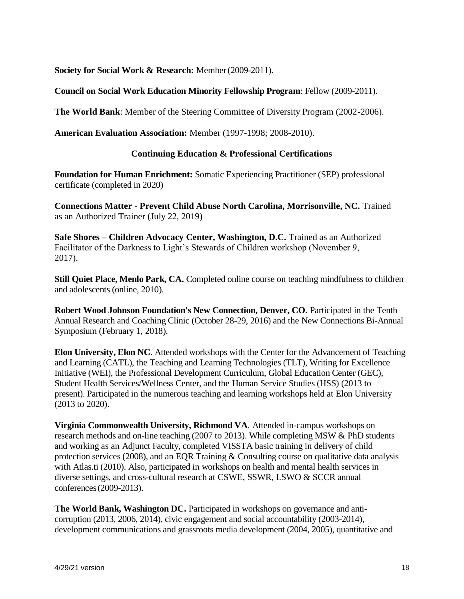**Society for Social Work & Research:** Member(2009-2011).

**Council on Social Work Education Minority Fellowship Program**: Fellow (2009-2011).

**The World Bank**: Member of the Steering Committee of Diversity Program (2002-2006).

**American Evaluation Association:** Member (1997-1998; 2008-2010).

## **Continuing Education & Professional Certifications**

**Foundation for Human Enrichment:** Somatic Experiencing Practitioner (SEP) professional certificate (completed in 2020)

**Connections Matter - Prevent Child Abuse North Carolina, Morrisonville, NC.** Trained as an Authorized Trainer (July 22, 2019)

**Safe Shores – Children Advocacy Center, Washington, D.C.** Trained as an Authorized Facilitator of the Darkness to Light's Stewards of Children workshop (November 9, 2017).

**Still Quiet Place, Menlo Park, CA.** Completed online course on teaching mindfulness to children and adolescents (online, 2010).

**Robert Wood Johnson Foundation's New Connection, Denver, CO. Participated in the Tenth** Annual Research and Coaching Clinic (October 28-29, 2016) and the New Connections Bi-Annual Symposium (February 1, 2018).

**Elon University, Elon NC**. Attended workshops with the Center for the Advancement of Teaching and Learning (CATL), the Teaching and Learning Technologies (TLT), Writing for Excellence Initiative (WEI), the Professional Development Curriculum, Global Education Center (GEC), Student Health Services/Wellness Center, and the Human Service Studies (HSS) (2013 to present). Participated in the numerous teaching and learning workshops held at Elon University (2013 to 2020).

**Virginia Commonwealth University, Richmond VA**. Attended in-campus workshops on research methods and on-line teaching (2007 to 2013). While completing MSW & PhD students and working as an Adjunct Faculty, completed VISSTA basic training in delivery of child protection services (2008), and an EQR Training & Consulting course on qualitative data analysis with Atlas.ti (2010). Also, participated in workshops on health and mental health services in diverse settings, and cross-cultural research at CSWE, SSWR, LSWO & SCCR annual conferences(2009-2013).

**The World Bank, Washington DC.** Participated in workshops on governance and anticorruption (2013, 2006, 2014), civic engagement and social accountability (2003-2014), development communications and grassroots media development (2004, 2005), quantitative and